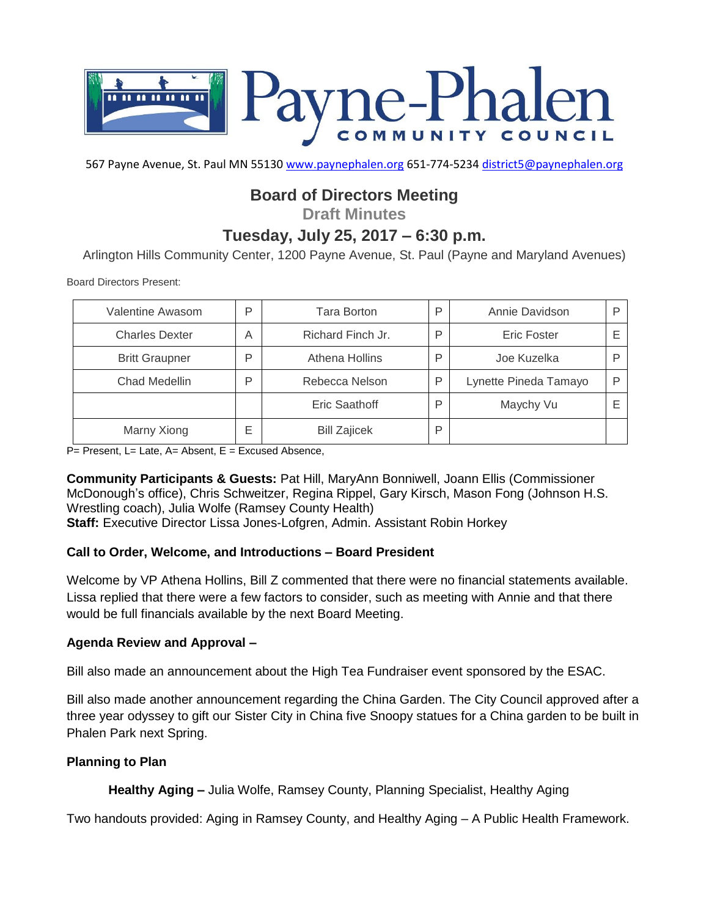

567 Payne Avenue, St. Paul MN 55130 [www.paynephalen.org](http://www.paynephalen.org/) 651-774-5234 [district5@paynephalen.org](mailto:district5@paynephalen.org)

# **Board of Directors Meeting**

**Draft Minutes**

## **Tuesday, July 25, 2017 – 6:30 p.m.**

Arlington Hills Community Center, 1200 Payne Avenue, St. Paul (Payne and Maryland Avenues)

Board Directors Present:

| Valentine Awasom      | P | Tara Borton         | P | Annie Davidson        |  |
|-----------------------|---|---------------------|---|-----------------------|--|
| <b>Charles Dexter</b> | Α | Richard Finch Jr.   | P | Eric Foster           |  |
| <b>Britt Graupner</b> | P | Athena Hollins      | P | Joe Kuzelka           |  |
| Chad Medellin         | P | Rebecca Nelson      | P | Lynette Pineda Tamayo |  |
|                       |   | Eric Saathoff       | P | Maychy Vu             |  |
| Marny Xiong           | Е | <b>Bill Zajicek</b> | P |                       |  |

 $P=$  Present, L= Late, A= Absent, E = Excused Absence,

**Community Participants & Guests:** Pat Hill, MaryAnn Bonniwell, Joann Ellis (Commissioner McDonough's office), Chris Schweitzer, Regina Rippel, Gary Kirsch, Mason Fong (Johnson H.S. Wrestling coach), Julia Wolfe (Ramsey County Health) **Staff:** Executive Director Lissa Jones-Lofgren, Admin. Assistant Robin Horkey

#### **Call to Order, Welcome, and Introductions – Board President**

Welcome by VP Athena Hollins, Bill Z commented that there were no financial statements available. Lissa replied that there were a few factors to consider, such as meeting with Annie and that there would be full financials available by the next Board Meeting.

#### **Agenda Review and Approval –**

Bill also made an announcement about the High Tea Fundraiser event sponsored by the ESAC.

Bill also made another announcement regarding the China Garden. The City Council approved after a three year odyssey to gift our Sister City in China five Snoopy statues for a China garden to be built in Phalen Park next Spring.

#### **Planning to Plan**

**Healthy Aging –** Julia Wolfe, Ramsey County, Planning Specialist, Healthy Aging

Two handouts provided: Aging in Ramsey County, and Healthy Aging – A Public Health Framework.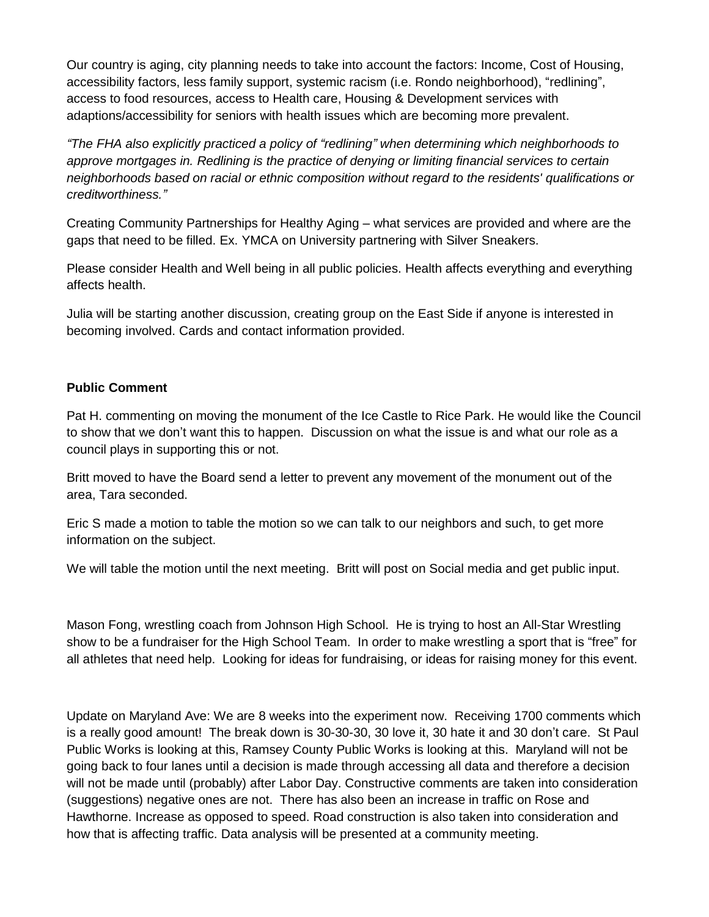Our country is aging, city planning needs to take into account the factors: Income, Cost of Housing, accessibility factors, less family support, systemic racism (i.e. Rondo neighborhood), "redlining", access to food resources, access to Health care, Housing & Development services with adaptions/accessibility for seniors with health issues which are becoming more prevalent.

*"The FHA also explicitly practiced a policy of "redlining" when determining which neighborhoods to approve mortgages in. Redlining is the practice of denying or limiting financial services to certain neighborhoods based on racial or ethnic composition without regard to the residents' qualifications or creditworthiness."*

Creating Community Partnerships for Healthy Aging – what services are provided and where are the gaps that need to be filled. Ex. YMCA on University partnering with Silver Sneakers.

Please consider Health and Well being in all public policies. Health affects everything and everything affects health.

Julia will be starting another discussion, creating group on the East Side if anyone is interested in becoming involved. Cards and contact information provided.

## **Public Comment**

Pat H. commenting on moving the monument of the Ice Castle to Rice Park. He would like the Council to show that we don't want this to happen. Discussion on what the issue is and what our role as a council plays in supporting this or not.

Britt moved to have the Board send a letter to prevent any movement of the monument out of the area, Tara seconded.

Eric S made a motion to table the motion so we can talk to our neighbors and such, to get more information on the subject.

We will table the motion until the next meeting. Britt will post on Social media and get public input.

Mason Fong, wrestling coach from Johnson High School. He is trying to host an All-Star Wrestling show to be a fundraiser for the High School Team. In order to make wrestling a sport that is "free" for all athletes that need help. Looking for ideas for fundraising, or ideas for raising money for this event.

Update on Maryland Ave: We are 8 weeks into the experiment now. Receiving 1700 comments which is a really good amount! The break down is 30-30-30, 30 love it, 30 hate it and 30 don't care. St Paul Public Works is looking at this, Ramsey County Public Works is looking at this. Maryland will not be going back to four lanes until a decision is made through accessing all data and therefore a decision will not be made until (probably) after Labor Day. Constructive comments are taken into consideration (suggestions) negative ones are not. There has also been an increase in traffic on Rose and Hawthorne. Increase as opposed to speed. Road construction is also taken into consideration and how that is affecting traffic. Data analysis will be presented at a community meeting.